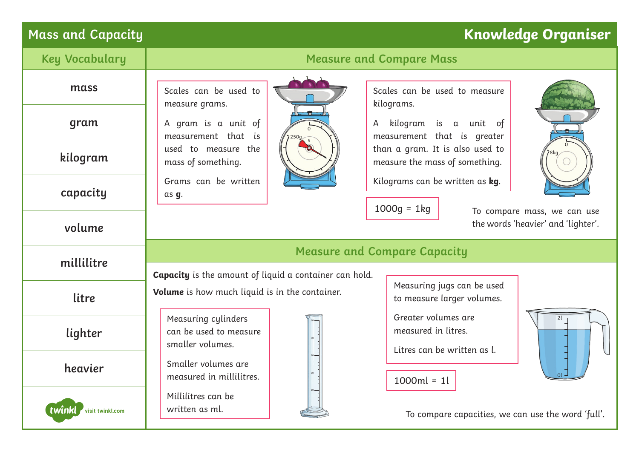# **Mass and Capacity Knowledge Organiser**

|            | <b>Key Vocabulary</b> | <b>Measure and Compare Mass</b>                                   |  |                                                                           |            |  |
|------------|-----------------------|-------------------------------------------------------------------|--|---------------------------------------------------------------------------|------------|--|
|            | mass                  | Scales can be used to<br>measure grams.                           |  | Scales can be used to measure<br>kilograms.                               |            |  |
|            | gram                  | A gram is a unit of<br>measurement that is                        |  | kilogram is a unit of<br>A<br>measurement that is greater                 |            |  |
|            | kilogram              | used to measure the<br>mass of something.                         |  | than a gram. It is also used to<br>measure the mass of something.         |            |  |
|            | capacity              | Grams can be written<br>as g.                                     |  | Kilograms can be written as kg.<br>$1000g = 1kg$                          |            |  |
| volume     |                       | To compare mass, we can use<br>the words 'heavier' and 'lighter'. |  |                                                                           |            |  |
| millilitre |                       | <b>Measure and Compare Capacity</b>                               |  |                                                                           |            |  |
|            |                       | <b>Capacity</b> is the amount of liquid a container can hold.     |  |                                                                           |            |  |
| litre      |                       | Volume is how much liquid is in the container.                    |  | Measuring jugs can be used<br>to measure larger volumes.                  |            |  |
|            | lighter               | Measuring cylinders<br>can be used to measure<br>smaller volumes. |  | Greater volumes are<br>measured in litres.<br>Litres can be written as l. | $2l \cdot$ |  |
|            | heavier               | Smaller volumes are<br>measured in millilitres.                   |  | $1000ml = 1l$                                                             |            |  |
| twinkl     | visit twinkl.com      | Millilitres can be<br>written as ml.                              |  | To compare capacities, we can use the word 'full'.                        |            |  |